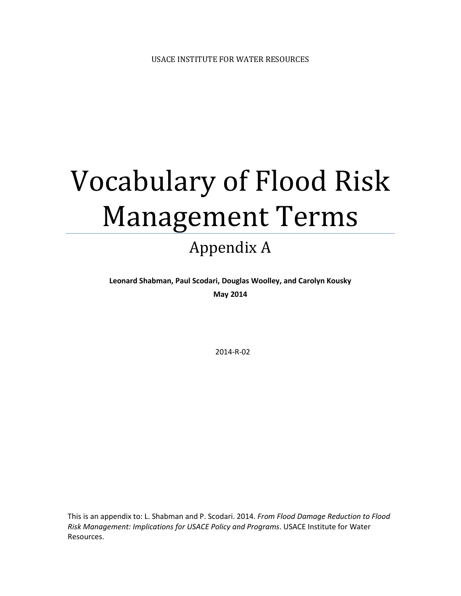# Vocabulary of Flood Risk Management Terms

# Appendix A

**Leonard Shabman, Paul Scodari, Douglas Woolley, and Carolyn Kousky May 2014**

2014-R-02

This is an appendix to: L. Shabman and P. Scodari. 2014. *From Flood Damage Reduction to Flood Risk Management: Implications for USACE Policy and Programs*. USACE Institute for Water Resources.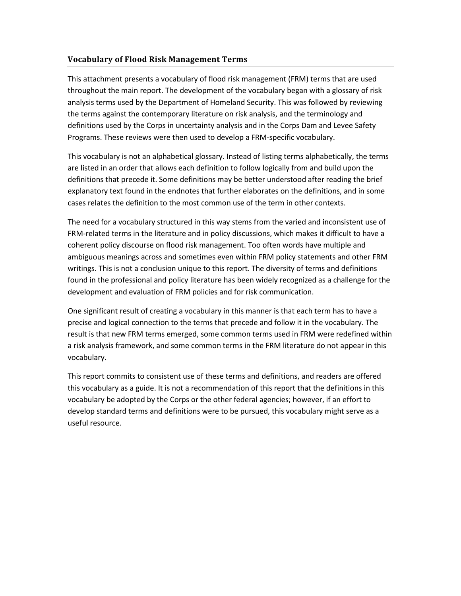#### **Vocabulary of Flood Risk Management Terms**

This attachment presents a vocabulary of flood risk management (FRM) terms that are used throughout the main report. The development of the vocabulary began with a glossary of risk analysis terms used by the Department of Homeland Security. This was followed by reviewing the terms against the contemporary literature on risk analysis, and the terminology and definitions used by the Corps in uncertainty analysis and in the Corps Dam and Levee Safety Programs. These reviews were then used to develop a FRM-specific vocabulary.

This vocabulary is not an alphabetical glossary. Instead of listing terms alphabetically, the terms are listed in an order that allows each definition to follow logically from and build upon the definitions that precede it. Some definitions may be better understood after reading the brief explanatory text found in the endnotes that further elaborates on the definitions, and in some cases relates the definition to the most common use of the term in other contexts.

The need for a vocabulary structured in this way stems from the varied and inconsistent use of FRM-related terms in the literature and in policy discussions, which makes it difficult to have a coherent policy discourse on flood risk management. Too often words have multiple and ambiguous meanings across and sometimes even within FRM policy statements and other FRM writings. This is not a conclusion unique to this report. The diversity of terms and definitions found in the professional and policy literature has been widely recognized as a challenge for the development and evaluation of FRM policies and for risk communication.

One significant result of creating a vocabulary in this manner is that each term has to have a precise and logical connection to the terms that precede and follow it in the vocabulary. The result is that new FRM terms emerged, some common terms used in FRM were redefined within a risk analysis framework, and some common terms in the FRM literature do not appear in this vocabulary.

This report commits to consistent use of these terms and definitions, and readers are offered this vocabulary as a guide. It is not a recommendation of this report that the definitions in this vocabulary be adopted by the Corps or the other federal agencies; however, if an effort to develop standard terms and definitions were to be pursued, this vocabulary might serve as a useful resource.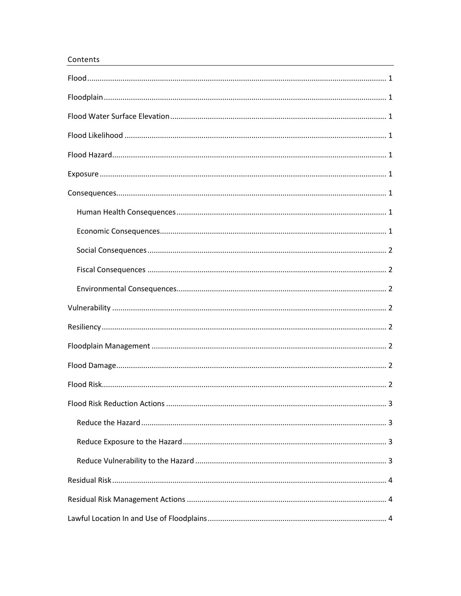#### Contents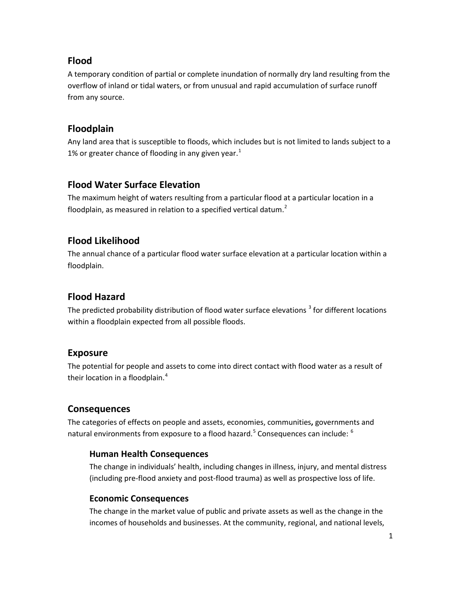# <span id="page-4-0"></span>**Flood**

A temporary condition of partial or complete inundation of normally dry land resulting from the overflow of inland or tidal waters, or from unusual and rapid accumulation of surface runoff from any source.

# <span id="page-4-1"></span>**Floodplain**

Any land area that is susceptible to floods, which includes but is not limited to lands subject to a [1](#page-11-0)% or greater chance of flooding in any given year.<sup>1</sup>

# <span id="page-4-2"></span>**Flood Water Surface Elevation**

The maximum height of waters resulting from a particular flood at a particular location in a floodplain, as measured in relation to a specified vertical datum.<sup>[2](#page-11-1)</sup>

# <span id="page-4-3"></span>**Flood Likelihood**

The annual chance of a particular flood water surface elevation at a particular location within a floodplain.

# <span id="page-4-4"></span>**Flood Hazard**

The predicted probability distribution of flood water surface elevations  $3$  for different locations within a floodplain expected from all possible floods.

# <span id="page-4-5"></span>**Exposure**

The potential for people and assets to come into direct contact with flood water as a result of their location in a floodplain.<sup>[4](#page-11-3)</sup>

# <span id="page-4-6"></span>**Consequences**

The categories of effects on people and assets, economies, communities**,** governments and natural environments from exposure to a flood hazard.<sup>[5](#page-11-4)</sup> Consequences can include: <sup>[6](#page-11-5)</sup>

# <span id="page-4-7"></span>**Human Health Consequences**

The change in individuals' health, including changes in illness, injury, and mental distress (including pre-flood anxiety and post-flood trauma) as well as prospective loss of life.

#### <span id="page-4-8"></span>**Economic Consequences**

The change in the market value of public and private assets as well as the change in the incomes of households and businesses. At the community, regional, and national levels,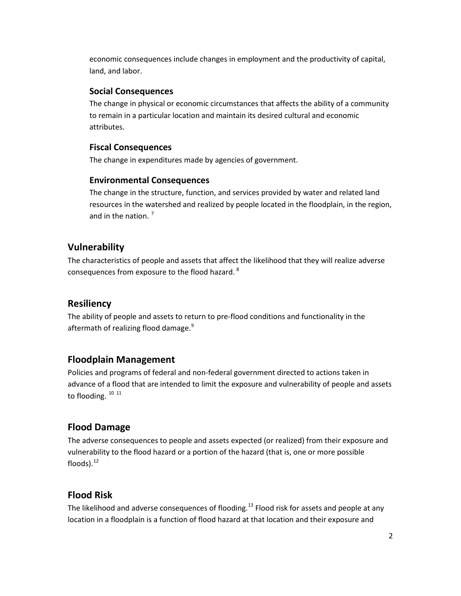economic consequences include changes in employment and the productivity of capital, land, and labor.

#### <span id="page-5-0"></span>**Social Consequences**

The change in physical or economic circumstances that affects the ability of a community to remain in a particular location and maintain its desired cultural and economic attributes.

#### <span id="page-5-1"></span>**Fiscal Consequences**

The change in expenditures made by agencies of government.

#### <span id="page-5-2"></span>**Environmental Consequences**

The change in the structure, function, and services provided by water and related land resources in the watershed and realized by people located in the floodplain, in the region, and in the nation.<sup>[7](#page-12-0)</sup>

#### <span id="page-5-3"></span>**Vulnerability**

The characteristics of people and assets that affect the likelihood that they will realize adverse consequences from exposure to the flood hazard. <sup>[8](#page-12-1)</sup>

# <span id="page-5-4"></span>**Resiliency**

The ability of people and assets to return to pre-flood conditions and functionality in the aftermath of realizing flood damage.<sup>[9](#page-12-2)</sup>

# <span id="page-5-5"></span>**Floodplain Management**

Policies and programs of federal and non-federal government directed to actions taken in advance of a flood that are intended to limit the exposure and vulnerability of people and assets to flooding. [10](#page-12-3) [11](#page-12-4)

# <span id="page-5-6"></span>**Flood Damage**

The adverse consequences to people and assets expected (or realized) from their exposure and vulnerability to the flood hazard or a portion of the hazard (that is, one or more possible floods).<sup>[12](#page-12-5)</sup>

# <span id="page-5-7"></span>**Flood Risk**

The likelihood and adverse consequences of flooding.<sup>[13](#page-12-6)</sup> Flood risk for assets and people at any location in a floodplain is a function of flood hazard at that location and their exposure and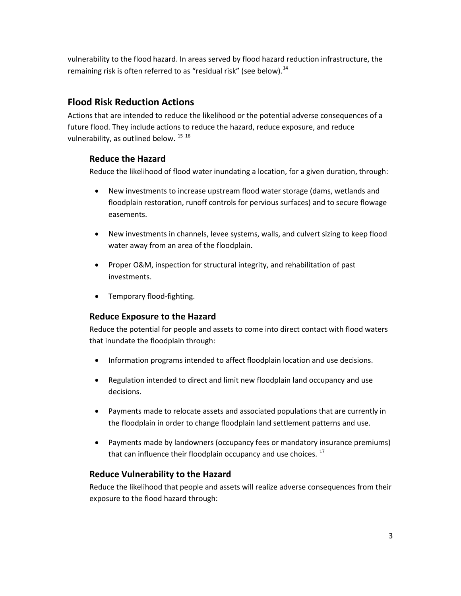vulnerability to the flood hazard. In areas served by flood hazard reduction infrastructure, the remaining risk is often referred to as "residual risk" (see below).<sup>[14](#page-13-0)</sup>

# <span id="page-6-0"></span>**Flood Risk Reduction Actions**

Actions that are intended to reduce the likelihood or the potential adverse consequences of a future flood. They include actions to reduce the hazard, reduce exposure, and reduce vulnerability, as outlined below. <sup>[15](#page-13-1) [16](#page-13-2)</sup>

#### <span id="page-6-1"></span>**Reduce the Hazard**

Reduce the likelihood of flood water inundating a location, for a given duration, through:

- New investments to increase upstream flood water storage (dams, wetlands and floodplain restoration, runoff controls for pervious surfaces) and to secure flowage easements.
- New investments in channels, levee systems, walls, and culvert sizing to keep flood water away from an area of the floodplain.
- Proper O&M, inspection for structural integrity, and rehabilitation of past investments.
- Temporary flood-fighting.

#### <span id="page-6-2"></span>**Reduce Exposure to the Hazard**

Reduce the potential for people and assets to come into direct contact with flood waters that inundate the floodplain through:

- Information programs intended to affect floodplain location and use decisions.
- Regulation intended to direct and limit new floodplain land occupancy and use decisions.
- Payments made to relocate assets and associated populations that are currently in the floodplain in order to change floodplain land settlement patterns and use.
- Payments made by landowners (occupancy fees or mandatory insurance premiums) that can influence their floodplain occupancy and use choices.  $17$

#### <span id="page-6-3"></span>**Reduce Vulnerability to the Hazard**

Reduce the likelihood that people and assets will realize adverse consequences from their exposure to the flood hazard through: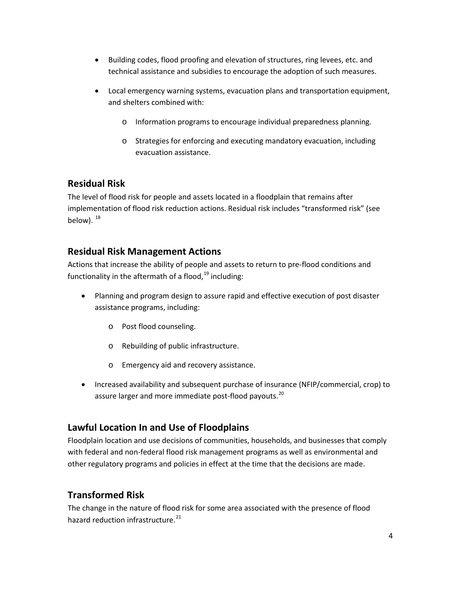- Building codes, flood proofing and elevation of structures, ring levees, etc. and technical assistance and subsidies to encourage the adoption of such measures.
- Local emergency warning systems, evacuation plans and transportation equipment, and shelters combined with:
	- o Information programs to encourage individual preparedness planning.
	- o Strategies for enforcing and executing mandatory evacuation, including evacuation assistance.

#### <span id="page-7-0"></span>**Residual Risk**

The level of flood risk for people and assets located in a floodplain that remains after implementation of flood risk reduction actions. Residual risk includes "transformed risk" (see below).  $18$ 

# <span id="page-7-1"></span>**Residual Risk Management Actions**

Actions that increase the ability of people and assets to return to pre-flood conditions and functionality in the aftermath of a flood, $19$  including:

- Planning and program design to assure rapid and effective execution of post disaster assistance programs, including:
	- o Post flood counseling.
	- o Rebuilding of public infrastructure.
	- o Emergency aid and recovery assistance.
- Increased availability and subsequent purchase of insurance (NFIP/commercial, crop) to assure larger and more immediate post-flood payouts.<sup>[20](#page-13-6)</sup>

# <span id="page-7-2"></span>**Lawful Location In and Use of Floodplains**

Floodplain location and use decisions of communities, households, and businesses that comply with federal and non-federal flood risk management programs as well as environmental and other regulatory programs and policies in effect at the time that the decisions are made.

#### <span id="page-7-3"></span>**Transformed Risk**

The change in the nature of flood risk for some area associated with the presence of flood hazard reduction infrastructure.<sup>[21](#page-13-7)</sup>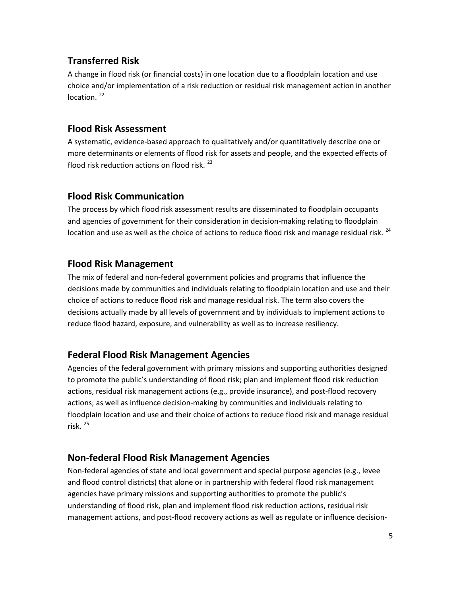# <span id="page-8-0"></span>**Transferred Risk**

A change in flood risk (or financial costs) in one location due to a floodplain location and use choice and/or implementation of a risk reduction or residual risk management action in another location.<sup>[22](#page-13-8)</sup>

# <span id="page-8-1"></span>**Flood Risk Assessment**

A systematic, evidence-based approach to qualitatively and/or quantitatively describe one or more determinants or elements of flood risk for assets and people, and the expected effects of flood risk reduction actions on flood risk.  $^{23}$  $^{23}$  $^{23}$ 

# <span id="page-8-2"></span>**Flood Risk Communication**

The process by which flood risk assessment results are disseminated to floodplain occupants and agencies of government for their consideration in decision-making relating to floodplain location and use as well as the choice of actions to reduce flood risk and manage residual risk.<sup>[24](#page-13-10)</sup>

# <span id="page-8-3"></span>**Flood Risk Management**

The mix of federal and non-federal government policies and programs that influence the decisions made by communities and individuals relating to floodplain location and use and their choice of actions to reduce flood risk and manage residual risk. The term also covers the decisions actually made by all levels of government and by individuals to implement actions to reduce flood hazard, exposure, and vulnerability as well as to increase resiliency.

# <span id="page-8-4"></span>**Federal Flood Risk Management Agencies**

Agencies of the federal government with primary missions and supporting authorities designed to promote the public's understanding of flood risk; plan and implement flood risk reduction actions, residual risk management actions (e.g., provide insurance), and post-flood recovery actions; as well as influence decision-making by communities and individuals relating to floodplain location and use and their choice of actions to reduce flood risk and manage residual risk. [25](#page-13-11)

# <span id="page-8-5"></span>**Non-federal Flood Risk Management Agencies**

Non-federal agencies of state and local government and special purpose agencies (e.g., levee and flood control districts) that alone or in partnership with federal flood risk management agencies have primary missions and supporting authorities to promote the public's understanding of flood risk, plan and implement flood risk reduction actions, residual risk management actions, and post-flood recovery actions as well as regulate or influence decision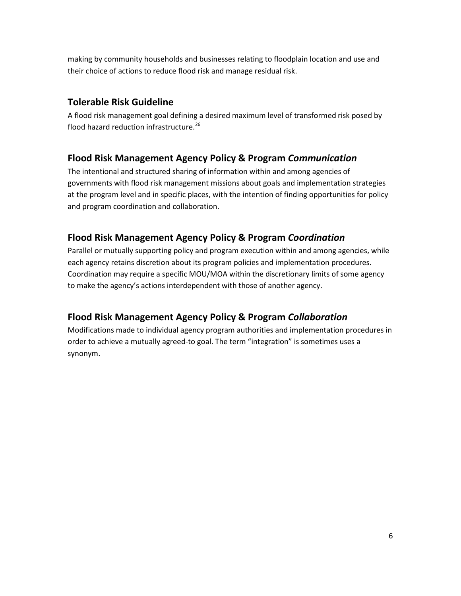making by community households and businesses relating to floodplain location and use and their choice of actions to reduce flood risk and manage residual risk.

# <span id="page-9-0"></span>**Tolerable Risk Guideline**

A flood risk management goal defining a desired maximum level of transformed risk posed by flood hazard reduction infrastructure.<sup>[26](#page-13-12)</sup>

# <span id="page-9-1"></span>**Flood Risk Management Agency Policy & Program** *Communication*

The intentional and structured sharing of information within and among agencies of governments with flood risk management missions about goals and implementation strategies at the program level and in specific places, with the intention of finding opportunities for policy and program coordination and collaboration.

# <span id="page-9-2"></span>**Flood Risk Management Agency Policy & Program** *Coordination*

Parallel or mutually supporting policy and program execution within and among agencies, while each agency retains discretion about its program policies and implementation procedures. Coordination may require a specific MOU/MOA within the discretionary limits of some agency to make the agency's actions interdependent with those of another agency.

# <span id="page-9-3"></span>**Flood Risk Management Agency Policy & Program** *Collaboration*

Modifications made to individual agency program authorities and implementation procedures in order to achieve a mutually agreed-to goal. The term "integration" is sometimes uses a synonym.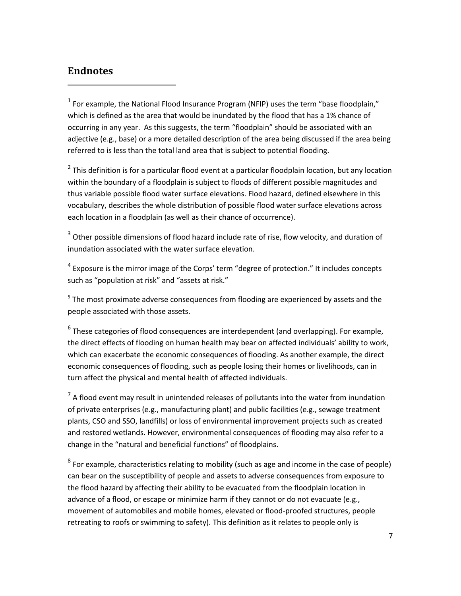# <span id="page-10-0"></span>**Endnotes**

 $\overline{\phantom{a}}$ 

 $1$  For example, the National Flood Insurance Program (NFIP) uses the term "base floodplain," which is defined as the area that would be inundated by the flood that has a 1% chance of occurring in any year. As this suggests, the term "floodplain" should be associated with an adjective (e.g., base) or a more detailed description of the area being discussed if the area being referred to is less than the total land area that is subject to potential flooding.

 $2$  This definition is for a particular flood event at a particular floodplain location, but any location within the boundary of a floodplain is subject to floods of different possible magnitudes and thus variable possible flood water surface elevations. Flood hazard, defined elsewhere in this vocabulary, describes the whole distribution of possible flood water surface elevations across each location in a floodplain (as well as their chance of occurrence).

<sup>3</sup> Other possible dimensions of flood hazard include rate of rise, flow velocity, and duration of inundation associated with the water surface elevation.

 $4$  Exposure is the mirror image of the Corps' term "degree of protection." It includes concepts such as "population at risk" and "assets at risk."

<sup>5</sup> The most proximate adverse consequences from flooding are experienced by assets and the people associated with those assets.

 $6$  These categories of flood consequences are interdependent (and overlapping). For example, the direct effects of flooding on human health may bear on affected individuals' ability to work, which can exacerbate the economic consequences of flooding. As another example, the direct economic consequences of flooding, such as people losing their homes or livelihoods, can in turn affect the physical and mental health of affected individuals.

 $<sup>7</sup>$  A flood event may result in unintended releases of pollutants into the water from inundation</sup> of private enterprises (e.g., manufacturing plant) and public facilities (e.g., sewage treatment plants, CSO and SSO, landfills) or loss of environmental improvement projects such as created and restored wetlands. However, environmental consequences of flooding may also refer to a change in the "natural and beneficial functions" of floodplains.

 $8$  For example, characteristics relating to mobility (such as age and income in the case of people) can bear on the susceptibility of people and assets to adverse consequences from exposure to the flood hazard by affecting their ability to be evacuated from the floodplain location in advance of a flood, or escape or minimize harm if they cannot or do not evacuate (e.g., movement of automobiles and mobile homes, elevated or flood-proofed structures, people retreating to roofs or swimming to safety). This definition as it relates to people only is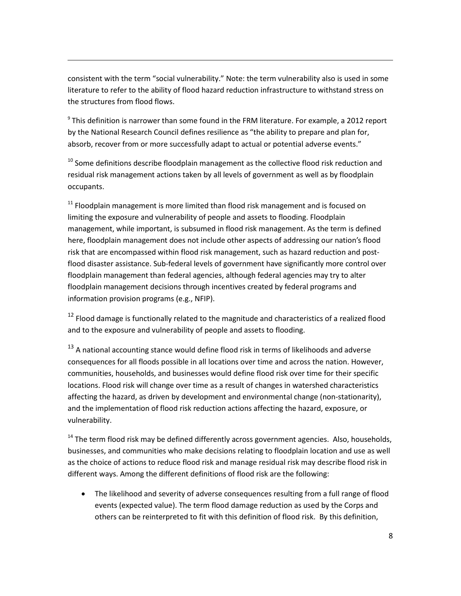consistent with the term "social vulnerability." Note: the term vulnerability also is used in some literature to refer to the ability of flood hazard reduction infrastructure to withstand stress on the structures from flood flows.

 $\overline{\phantom{a}}$ 

<span id="page-11-0"></span> $9$  This definition is narrower than some found in the FRM literature. For example, a 2012 report by the National Research Council defines resilience as "the ability to prepare and plan for, absorb, recover from or more successfully adapt to actual or potential adverse events."

<span id="page-11-1"></span> $10$  Some definitions describe floodplain management as the collective flood risk reduction and residual risk management actions taken by all levels of government as well as by floodplain occupants.

<span id="page-11-2"></span><sup>11</sup> Floodplain management is more limited than flood risk management and is focused on limiting the exposure and vulnerability of people and assets to flooding. Floodplain management, while important, is subsumed in flood risk management. As the term is defined here, floodplain management does not include other aspects of addressing our nation's flood risk that are encompassed within flood risk management, such as hazard reduction and postflood disaster assistance. Sub-federal levels of government have significantly more control over floodplain management than federal agencies, although federal agencies may try to alter floodplain management decisions through incentives created by federal programs and information provision programs (e.g., NFIP).

<span id="page-11-5"></span><span id="page-11-4"></span><span id="page-11-3"></span><sup>12</sup> Flood damage is functionally related to the magnitude and characteristics of a realized flood and to the exposure and vulnerability of people and assets to flooding.

 $13$  A national accounting stance would define flood risk in terms of likelihoods and adverse consequences for all floods possible in all locations over time and across the nation. However, communities, households, and businesses would define flood risk over time for their specific locations. Flood risk will change over time as a result of changes in watershed characteristics affecting the hazard, as driven by development and environmental change (non-stationarity), and the implementation of flood risk reduction actions affecting the hazard, exposure, or vulnerability.

<sup>14</sup> The term flood risk may be defined differently across government agencies. Also, households, businesses, and communities who make decisions relating to floodplain location and use as well as the choice of actions to reduce flood risk and manage residual risk may describe flood risk in different ways. Among the different definitions of flood risk are the following:

• The likelihood and severity of adverse consequences resulting from a full range of flood events (expected value). The term flood damage reduction as used by the Corps and others can be reinterpreted to fit with this definition of flood risk. By this definition,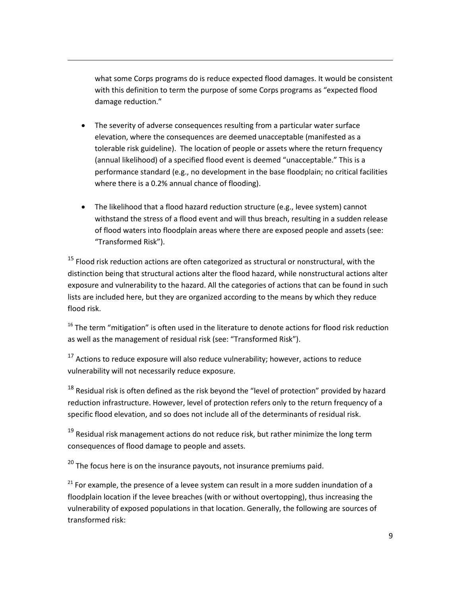what some Corps programs do is reduce expected flood damages. It would be consistent with this definition to term the purpose of some Corps programs as "expected flood damage reduction."

 $\overline{\phantom{a}}$ 

- <span id="page-12-3"></span><span id="page-12-2"></span>• The severity of adverse consequences resulting from a particular water surface elevation, where the consequences are deemed unacceptable (manifested as a tolerable risk guideline). The location of people or assets where the return frequency (annual likelihood) of a specified flood event is deemed "unacceptable." This is a performance standard (e.g., no development in the base floodplain; no critical facilities where there is a 0.2% annual chance of flooding).
- <span id="page-12-4"></span>• The likelihood that a flood hazard reduction structure (e.g., levee system) cannot withstand the stress of a flood event and will thus breach, resulting in a sudden release of flood waters into floodplain areas where there are exposed people and assets (see: "Transformed Risk").

 $15$  Flood risk reduction actions are often categorized as structural or nonstructural, with the distinction being that structural actions alter the flood hazard, while nonstructural actions alter exposure and vulnerability to the hazard. All the categories of actions that can be found in such lists are included here, but they are organized according to the means by which they reduce flood risk.

<span id="page-12-5"></span> $16$  The term "mitigation" is often used in the literature to denote actions for flood risk reduction as well as the management of residual risk (see: "Transformed Risk").

<span id="page-12-6"></span> $17$  Actions to reduce exposure will also reduce vulnerability; however, actions to reduce vulnerability will not necessarily reduce exposure.

<span id="page-12-0"></span> $18$  Residual risk is often defined as the risk beyond the "level of protection" provided by hazard reduction infrastructure. However, level of protection refers only to the return frequency of a specific flood elevation, and so does not include all of the determinants of residual risk.

 $19$  Residual risk management actions do not reduce risk, but rather minimize the long term consequences of flood damage to people and assets.

<span id="page-12-1"></span> $20$  The focus here is on the insurance payouts, not insurance premiums paid.

 $21$  For example, the presence of a levee system can result in a more sudden inundation of a floodplain location if the levee breaches (with or without overtopping), thus increasing the vulnerability of exposed populations in that location. Generally, the following are sources of transformed risk: